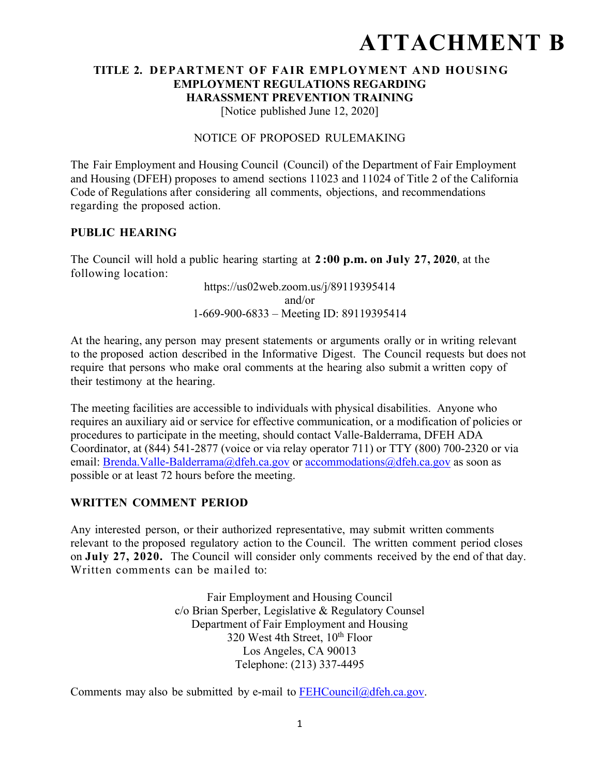# **ATTACHMENT B**

# **TITLE 2. DEPARTMENT OF FAIR EMPLOYMENT AND HOUSING EMPLOYMENT REGULATIONS REGARDING HARASSMENT PREVENTION TRAINING**

[Notice published June 12, 2020]

#### NOTICE OF PROPOSED RULEMAKING

The Fair Employment and Housing Council (Council) of the Department of Fair Employment and Housing (DFEH) proposes to amend sections 11023 and 11024 of Title 2 of the California Code of Regulations after considering all comments, objections, and recommendations regarding the proposed action.

#### **PUBLIC HEARING**

The Council will hold a public hearing starting at **2 :00 p.m. on July 27, 2020**, at the following location:

> https://us02web.zoom.us/j/89119395414 and/or 1-669-900-6833 – Meeting ID: 89119395414

At the hearing, any person may present statements or arguments orally or in writing relevant to the proposed action described in the Informative Digest. The Council requests but does not require that persons who make oral comments at the hearing also submit a written copy of their testimony at the hearing.

The meeting facilities are accessible to individuals with physical disabilities. Anyone who requires an auxiliary aid or service for effective communication, or a modification of policies or procedures to participate in the meeting, should contact Valle-Balderrama, DFEH ADA Coordinator, at (844) 541-2877 (voice or via relay operator 711) or TTY (800) 700-2320 or via email: Brenda.Valle-Balderrama@dfeh.ca.gov or accommodations@dfeh.ca.gov as soon as possible or at least 72 hours before the meeting.

#### **WRITTEN COMMENT PERIOD**

Any interested person, or their authorized representative, may submit written comments relevant to the proposed regulatory action to the Council. The written comment period closes on **July 27, 2020.** The Council will consider only comments received by the end of that day. Written comments can be mailed to:

> Fair Employment and Housing Council c/o Brian Sperber, Legislative & Regulatory Counsel Department of Fair Employment and Housing 320 West 4th Street,  $10^{th}$  Floor Los Angeles, CA 90013 Telephone: (213) 337-4495

Comments may also be submitted by e-mail to  $FEHCouncil@dfeh.ca.gov$ .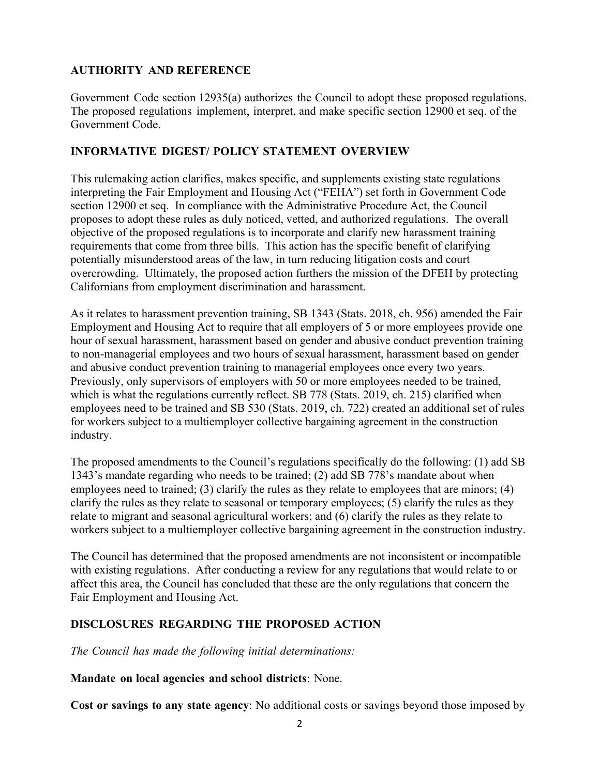## **AUTHORITY AND REFERENCE**

Government Code section 12935(a) authorizes the Council to adopt these proposed regulations. The proposed regulations implement, interpret, and make specific section 12900 et seq. of the Government Code.

#### **INFORMATIVE DIGEST/ POLICY STATEMENT OVERVIEW**

This rulemaking action clarifies, makes specific, and supplements existing state regulations interpreting the Fair Employment and Housing Act ("FEHA") set forth in Government Code section 12900 et seq. In compliance with the Administrative Procedure Act, the Council proposes to adopt these rules as duly noticed, vetted, and authorized regulations. The overall objective of the proposed regulations is to incorporate and clarify new harassment training requirements that come from three bills. This action has the specific benefit of clarifying potentially misunderstood areas of the law, in turn reducing litigation costs and court overcrowding. Ultimately, the proposed action furthers the mission of the DFEH by protecting Californians from employment discrimination and harassment.

As it relates to harassment prevention training, SB 1343 (Stats. 2018, ch. 956) amended the Fair Employment and Housing Act to require that all employers of 5 or more employees provide one hour of sexual harassment, harassment based on gender and abusive conduct prevention training to non-managerial employees and two hours of sexual harassment, harassment based on gender and abusive conduct prevention training to managerial employees once every two years. Previously, only supervisors of employers with 50 or more employees needed to be trained, which is what the regulations currently reflect. SB 778 (Stats. 2019, ch. 215) clarified when employees need to be trained and SB 530 (Stats. 2019, ch. 722) created an additional set of rules for workers subject to a multiemployer collective bargaining agreement in the construction industry.

The proposed amendments to the Council's regulations specifically do the following: (1) add SB 1343's mandate regarding who needs to be trained; (2) add SB 778's mandate about when employees need to trained; (3) clarify the rules as they relate to employees that are minors; (4) clarify the rules as they relate to seasonal or temporary employees; (5) clarify the rules as they relate to migrant and seasonal agricultural workers; and (6) clarify the rules as they relate to workers subject to a multiemployer collective bargaining agreement in the construction industry.

The Council has determined that the proposed amendments are not inconsistent or incompatible with existing regulations. After conducting a review for any regulations that would relate to or affect this area, the Council has concluded that these are the only regulations that concern the Fair Employment and Housing Act.

# **DISCLOSURES REGARDING THE PROPOSED ACTION**

*The Council has made the following initial determinations:* 

#### **Mandate on local agencies and school districts**: None.

**Cost or savings to any state agency**: No additional costs or savings beyond those imposed by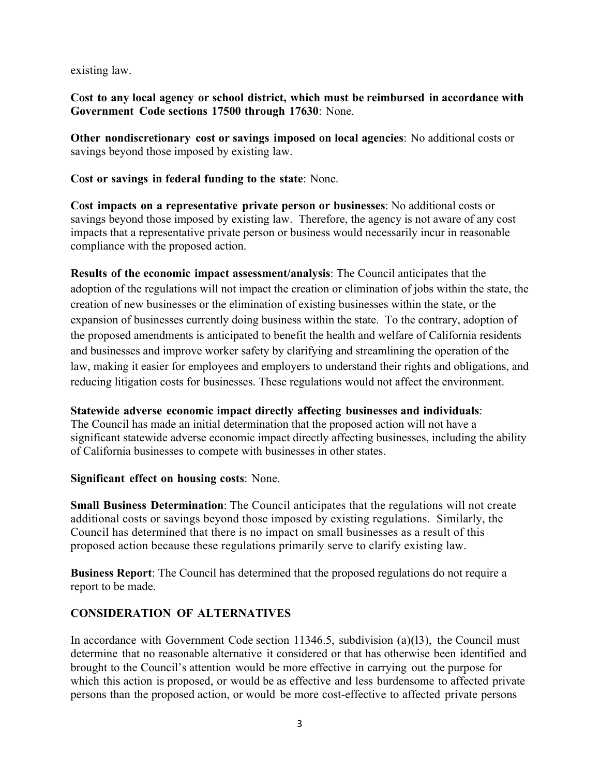existing law.

**Cost to any local agency or school district, which must be reimbursed in accordance with Government Code sections 17500 through 17630**: None.

**Other nondiscretionary cost or savings imposed on local agencies**: No additional costs or savings beyond those imposed by existing law.

**Cost or savings in federal funding to the state**: None.

**Cost impacts on a representative private person or businesses**: No additional costs or savings beyond those imposed by existing law. Therefore, the agency is not aware of any cost impacts that a representative private person or business would necessarily incur in reasonable compliance with the proposed action.

**Results of the economic impact assessment/analysis**: The Council anticipates that the adoption of the regulations will not impact the creation or elimination of jobs within the state, the creation of new businesses or the elimination of existing businesses within the state, or the expansion of businesses currently doing business within the state. To the contrary, adoption of the proposed amendments is anticipated to benefit the health and welfare of California residents and businesses and improve worker safety by clarifying and streamlining the operation of the law, making it easier for employees and employers to understand their rights and obligations, and reducing litigation costs for businesses. These regulations would not affect the environment.

#### **Statewide adverse economic impact directly affecting businesses and individuals**:

The Council has made an initial determination that the proposed action will not have a significant statewide adverse economic impact directly affecting businesses, including the ability of California businesses to compete with businesses in other states.

#### **Significant effect on housing costs**: None.

**Small Business Determination**: The Council anticipates that the regulations will not create additional costs or savings beyond those imposed by existing regulations. Similarly, the Council has determined that there is no impact on small businesses as a result of this proposed action because these regulations primarily serve to clarify existing law.

**Business Report**: The Council has determined that the proposed regulations do not require a report to be made.

# **CONSIDERATION OF ALTERNATIVES**

In accordance with Government Code section 11346.5, subdivision (a)(13), the Council must determine that no reasonable alternative it considered or that has otherwise been identified and brought to the Council's attention would be more effective in carrying out the purpose for which this action is proposed, or would be as effective and less burdensome to affected private persons than the proposed action, or would be more cost-effective to affected private persons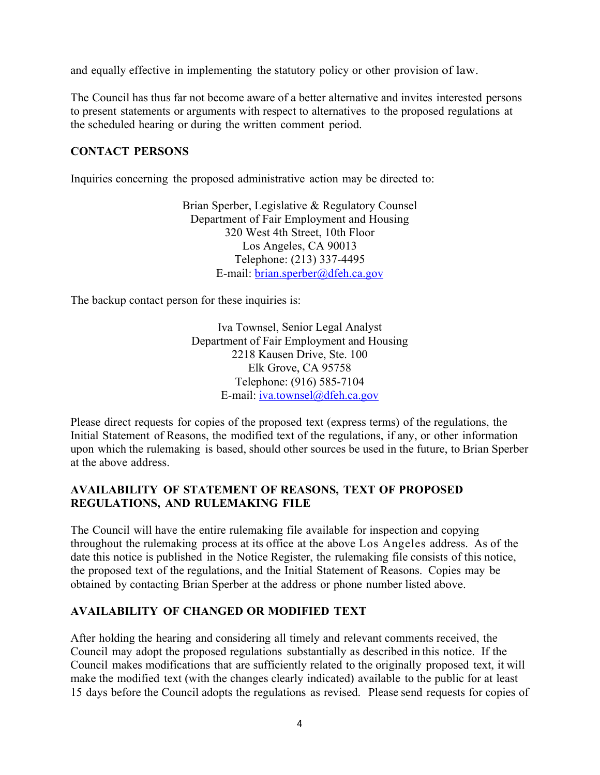and equally effective in implementing the statutory policy or other provision of law.

The Council has thus far not become aware of a better alternative and invites interested persons to present statements or arguments with respect to alternatives to the proposed regulations at the scheduled hearing or during the written comment period.

#### **CONTACT PERSONS**

Inquiries concerning the proposed administrative action may be directed to:

Brian Sperber, Legislative & Regulatory Counsel Department of Fair Employment and Housing 320 West 4th Street, 10th Floor Los Angeles, CA 90013 Telephone: (213) 337-4495 E-mail: brian.sperber@dfeh.ca.gov

The backup contact person for these inquiries is:

Iva Townsel, Senior Legal Analyst Department of Fair Employment and Housing 2218 Kausen Drive, Ste. 100 Elk Grove, CA 95758 Telephone: (916) 585-7104 E-mail: iva.townsel@dfeh.ca.gov

Please direct requests for copies of the proposed text (express terms) of the regulations, the Initial Statement of Reasons, the modified text of the regulations, if any, or other information upon which the rulemaking is based, should other sources be used in the future, to Brian Sperber at the above address.

## **AVAILABILITY OF STATEMENT OF REASONS, TEXT OF PROPOSED REGULATIONS, AND RULEMAKING FILE**

The Council will have the entire rulemaking file available for inspection and copying throughout the rulemaking process at its office at the above Los Angeles address. As of the date this notice is published in the Notice Register, the rulemaking file consists of this notice, the proposed text of the regulations, and the Initial Statement of Reasons. Copies may be obtained by contacting Brian Sperber at the address or phone number listed above.

# **AVAILABILITY OF CHANGED OR MODIFIED TEXT**

After holding the hearing and considering all timely and relevant comments received, the Council may adopt the proposed regulations substantially as described in this notice. If the Council makes modifications that are sufficiently related to the originally proposed text, it will make the modified text (with the changes clearly indicated) available to the public for at least 15 days before the Council adopts the regulations as revised. Please send requests for copies of